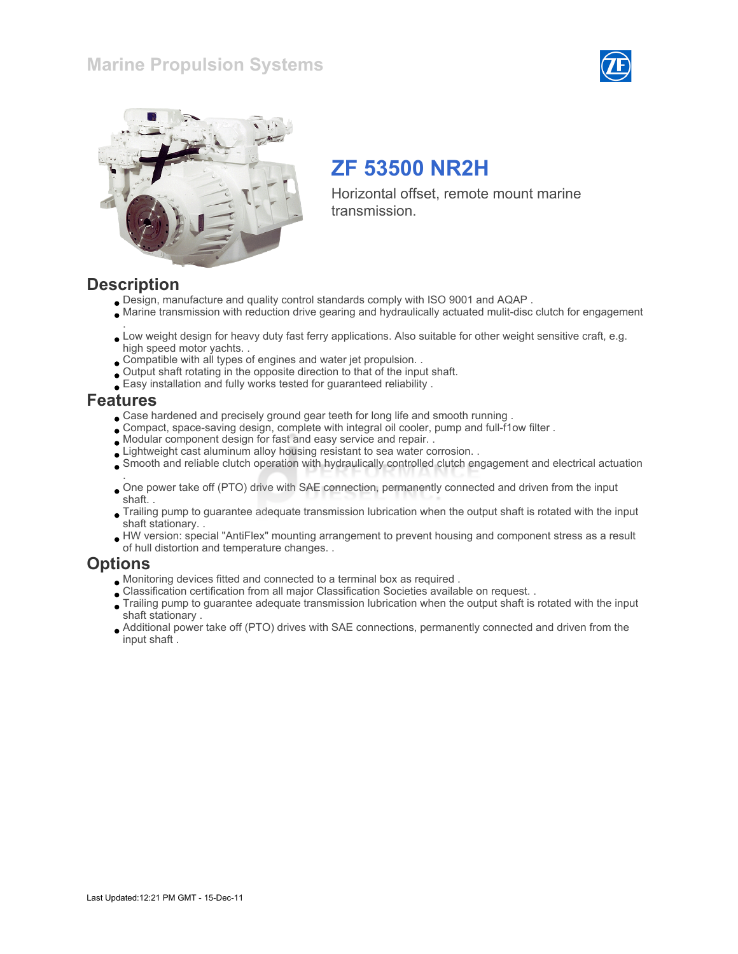### Marine Propulsion Systems





# ZF 53500 NR2H

Horizontal offset, remote mount marine transmission.

#### **Description**

- Design, manufacture and quality control standards comply with ISO 9001 and AQAP .
- Marine transmission with reduction drive gearing and hydraulically actuated mulit-disc clutch for engagement
- . Low weight design for heavy duty fast ferry applications. Also suitable for other weight sensitive craft, e.g. high speed motor yachts. .
- Compatible with all types of engines and water jet propulsion. .
- Output shaft rotating in the opposite direction to that of the input shaft.
- Easy installation and fully works tested for guaranteed reliability .

#### Features

- Case hardened and precisely ground gear teeth for long life and smooth running .
- Compact, space-saving design, complete with integral oil cooler, pump and full-f1ow filter .
- Modular component design for fast and easy service and repair. .
- Lightweight cast aluminum alloy housing resistant to sea water corrosion. .
- Smooth and reliable clutch operation with hydraulically controlled clutch engagement and electrical actuation
- . One power take off (PTO) drive with SAE connection, permanently connected and driven from the input shaft. .
- Trailing pump to guarantee adequate transmission lubrication when the output shaft is rotated with the input shaft stationary. .
- HW version: special "AntiFlex" mounting arrangement to prevent housing and component stress as a result of hull distortion and temperature changes. .

#### **Options**

- Monitoring devices fitted and connected to a terminal box as required .
- Classification certification from all major Classification Societies available on request. .
- Trailing pump to guarantee adequate transmission lubrication when the output shaft is rotated with the input shaft stationary .
- Additional power take off (PTO) drives with SAE connections, permanently connected and driven from the input shaft .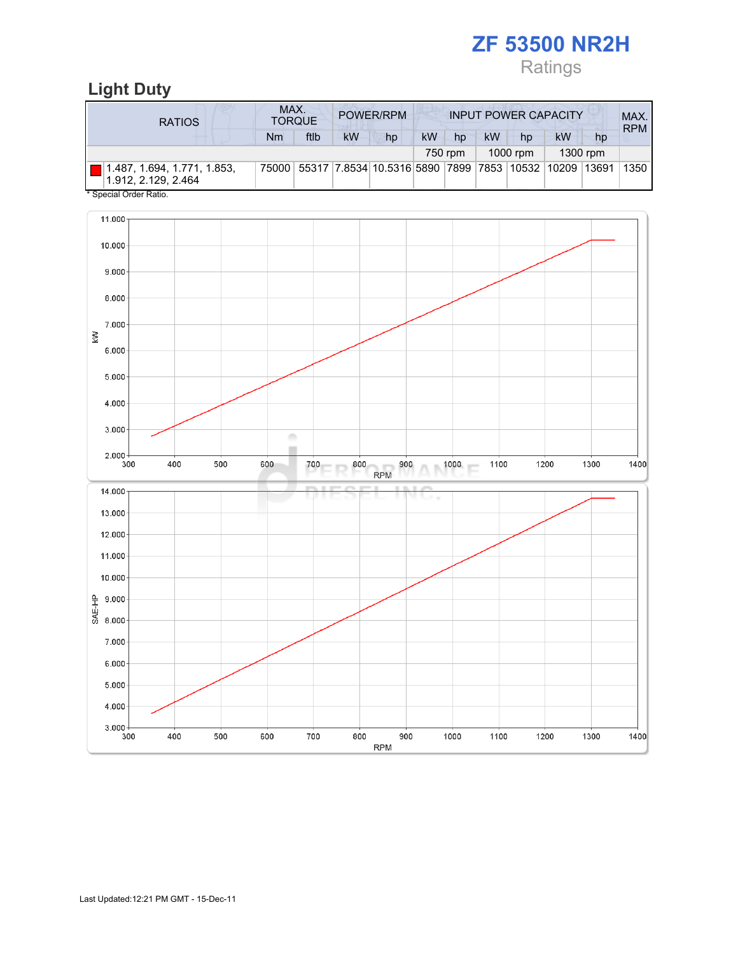# Ratings

## Light Duty

| <b>RATIOS</b>                                      | MAX. | <b>TORQUE</b> |    | <b>POWER/RPM</b>                                                              | <b>INPUT POWER CAPACITY</b> |         |           |          |           |          | MAX.<br><b>RPM</b> |
|----------------------------------------------------|------|---------------|----|-------------------------------------------------------------------------------|-----------------------------|---------|-----------|----------|-----------|----------|--------------------|
|                                                    | Nm   | ftlb          | kW | hp                                                                            | kW                          | hp      | <b>kW</b> | hp       | <b>kW</b> | hp       |                    |
|                                                    |      |               |    |                                                                               |                             | 750 rpm |           | 1000 rpm |           | 1300 rpm |                    |
| 1.487, 1.694, 1.771, 1.853,<br>1.912. 2.129. 2.464 |      |               |    | 75000   55317   7.8534   10.5316   5890   7899   7853   10532   10209   13691 |                             |         |           |          |           |          | 1350               |
| * Special Order Ratio.                             |      |               |    |                                                                               |                             |         |           |          |           |          |                    |

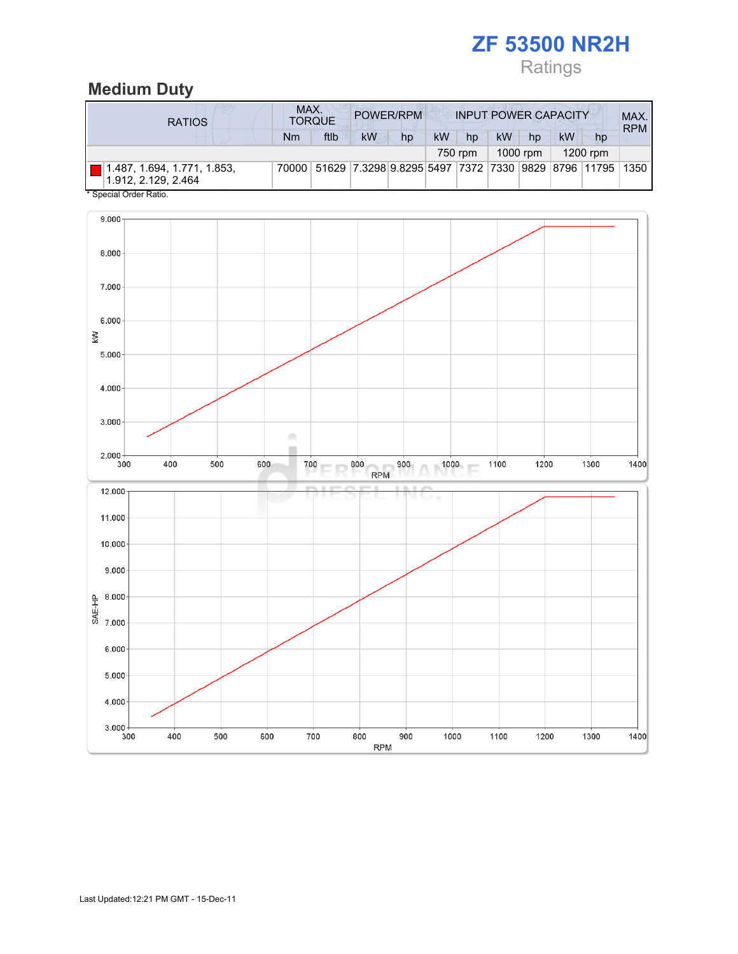# Ratings

## Medium Duty

| <b>RATIOS</b>                                      | MAX.<br><b>TORQUE</b> | POWER/RPM<br><b>INPUT POWER CAPACITY</b>                      |           |    |           |         |           | MAX.<br><b>RPM</b> |           |            |  |
|----------------------------------------------------|-----------------------|---------------------------------------------------------------|-----------|----|-----------|---------|-----------|--------------------|-----------|------------|--|
|                                                    | Nm                    | ftlb                                                          | <b>kW</b> | hp | <b>kW</b> | hp      | <b>kW</b> | hp                 | <b>kW</b> | hp         |  |
|                                                    |                       |                                                               |           |    |           | 750 rpm |           | 1000 rpm           |           | $1200$ rpm |  |
| 1.487, 1.694, 1.771, 1.853,<br>1.912, 2.129, 2.464 |                       | 70000 51629 7.3298 9.8295 5497 7372 7330 9829 8796 11795 1350 |           |    |           |         |           |                    |           |            |  |
| * Special Order Ratio.                             |                       |                                                               |           |    |           |         |           |                    |           |            |  |

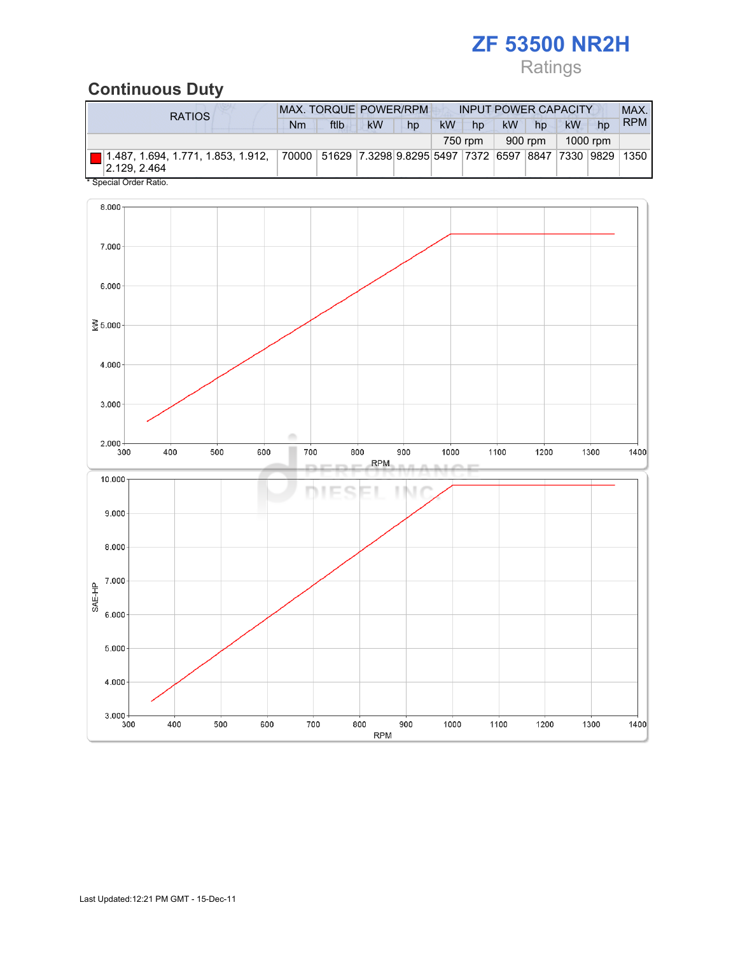# Ratings

## Continuous Duty

| RATIOS                                                                                                                                          |    | <b>MAX. TORQUE POWER/RPM</b> |    |    |           | <b>INPUT POWER CAPACITY</b> |           |         |           |          | MAX.       |
|-------------------------------------------------------------------------------------------------------------------------------------------------|----|------------------------------|----|----|-----------|-----------------------------|-----------|---------|-----------|----------|------------|
|                                                                                                                                                 | Nm | ftlb                         | kW | hp | <b>kW</b> | hp                          | <b>kW</b> | hp      | <b>kW</b> | hp       | <b>RPM</b> |
|                                                                                                                                                 |    |                              |    |    |           | 750 rpm                     |           | 900 rpm |           | 1000 rpm |            |
| 1 1.487, 1.694, 1.771, 1.853, 1.912,                      70000   51629  7.3298 9.8295 5497  7372  6597  8847  7330  9829  1350<br> 2.129.2.464 |    |                              |    |    |           |                             |           |         |           |          |            |

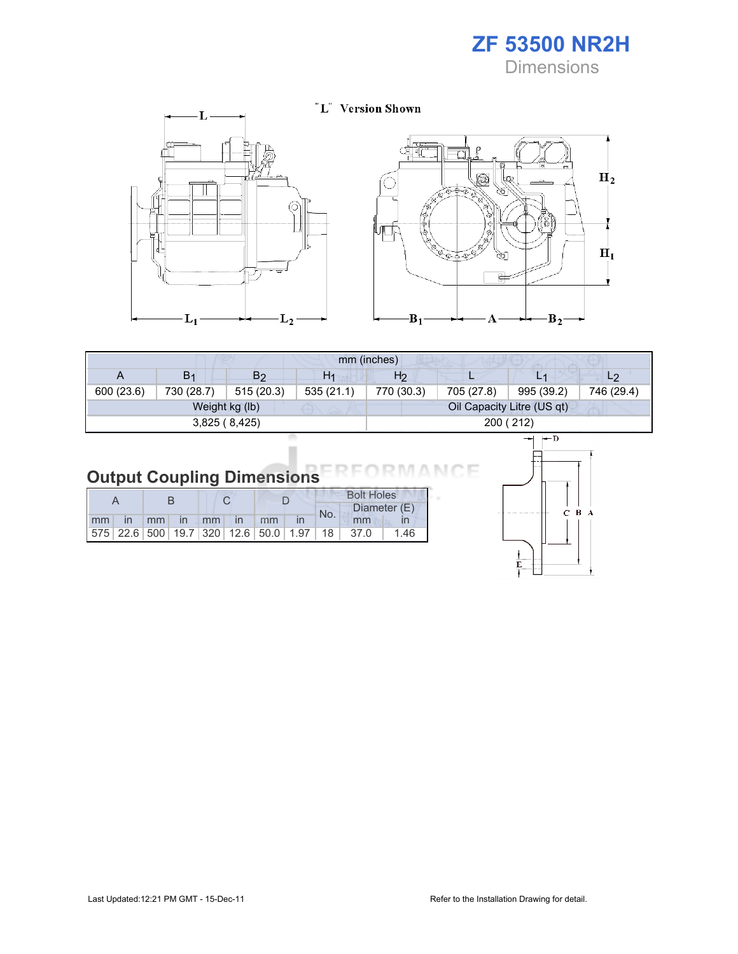**Dimensions** 





| mm (inches) |                |                |                |                |            |                            |                |  |  |
|-------------|----------------|----------------|----------------|----------------|------------|----------------------------|----------------|--|--|
| A           | B <sub>1</sub> | B <sub>2</sub> | H <sub>1</sub> | H <sub>2</sub> |            | $\Box$                     | L <sub>2</sub> |  |  |
| 600 (23.6)  | 730 (28.7)     | 515(20.3)      | 535(21.1)      | 770 (30.3)     | 705 (27.8) | 995 (39.2)                 | 746 (29.4)     |  |  |
|             |                | Weight kg (lb) |                |                |            | Oil Capacity Litre (US qt) |                |  |  |
|             |                | 3,825(8,425)   |                |                |            | 200 (212)                  |                |  |  |

| <b>Output Coupling Dimensions</b> |  |  |  |
|-----------------------------------|--|--|--|
|-----------------------------------|--|--|--|

I

|    |    |              |                   |              |                                                         |  | <b>Bolt Holes</b> |       |              |
|----|----|--------------|-------------------|--------------|---------------------------------------------------------|--|-------------------|-------|--------------|
|    |    |              |                   |              |                                                         |  | No.               |       | Diameter (E) |
| mm | mm | $\mathsf{I}$ | $\blacksquare$ mm | $\mathsf{I}$ | mm                                                      |  |                   | mm    |              |
|    |    |              |                   |              | 575   22.6   500   19.7   320   12.6   50.0   1.97   18 |  |                   | -37.0 | 1.46         |